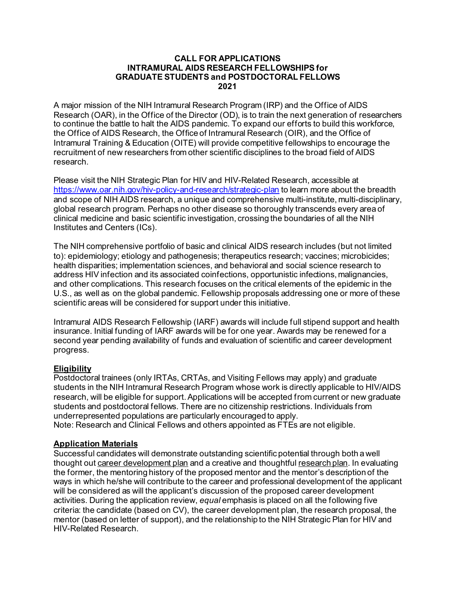#### **CALL FOR APPLICATIONS INTRAMURAL AIDS RESEARCH FELLOWSHIPS for GRADUATE STUDENTS and POSTDOCTORAL FELLOWS 2021**

A major mission of the NIH Intramural Research Program (IRP) and the Office of AIDS Research (OAR), in the Office of the Director (OD), is to train the next generation of researchers to continue the battle to halt the AIDS pandemic. To expand our efforts to build this workforce, the Office of AIDS Research, the Office of Intramural Research (OIR), and the Office of Intramural Training & Education (OITE) will provide competitive fellowships to encourage the recruitment of new researchers from other scientific disciplines to the broad field of AIDS research.

Please visit the NIH Strategic Plan for HIV and HIV-Related Research, accessible at <https://www.oar.nih.gov/hiv-policy-and-research/strategic-plan> to learn more about the breadth and scope of NIH AIDS research, a unique and comprehensive multi-institute, multi-disciplinary, global research program. Perhaps no other disease so thoroughly transcends every area of clinical medicine and basic scientific investigation, crossing the boundaries of all the NIH Institutes and Centers (ICs).

The NIH comprehensive portfolio of basic and clinical AIDS research includes (but not limited to): epidemiology; etiology and pathogenesis; therapeutics research; vaccines; microbicides; health disparities; implementation sciences, and behavioral and social science research to address HIV infection and its associated coinfections, opportunistic infections, malignancies, and other complications. This research focuses on the critical elements of the epidemic in the U.S., as well as on the global pandemic. Fellowship proposals addressing one or more of these scientific areas will be considered for support under this initiative.

Intramural AIDS Research Fellowship (IARF) awards will include full stipend support and health insurance. Initial funding of IARF awards will be for one year. Awards may be renewed for a second year pending availability of funds and evaluation of scientific and career development progress.

## **Eligibility**

Postdoctoral trainees (only IRTAs, CRTAs, and Visiting Fellows may apply) and graduate students in the NIH Intramural Research Program whose work is directly applicable to HIV/AIDS research, will be eligible for support. Applications will be accepted from current or new graduate students and postdoctoral fellows. There are no citizenship restrictions. Individuals from underrepresented populations are particularly encouraged to apply. Note: Research and Clinical Fellows and others appointed as FTEs are not eligible.

## **Application Materials**

Successful candidates will demonstrate outstanding scientific potential through both a well thought out career development plan and a creative and thoughtful research plan. In evaluating the former, the mentoring history of the proposed mentor and the mentor's description of the ways in which he/she will contribute to the career and professional development of the applicant will be considered as will the applicant's discussion of the proposed career development activities. During the application review, *equal* emphasis is placed on all the following five criteria: the candidate (based on CV), the career development plan, the research proposal, the mentor (based on letter of support), and the relationship to the NIH Strategic Plan for HIV and HIV-Related Research.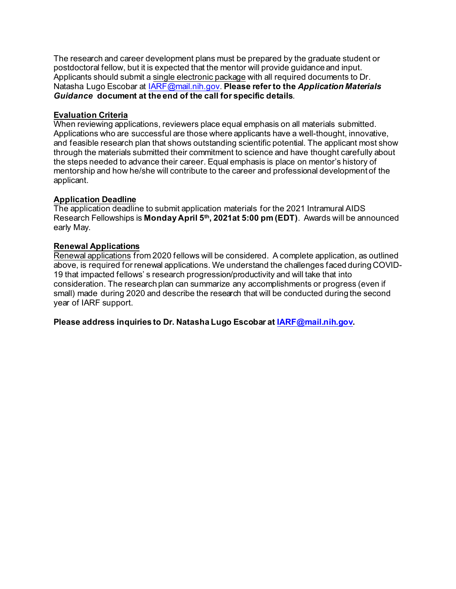The research and career development plans must be prepared by the graduate student or postdoctoral fellow, but it is expected that the mentor will provide guidance and input. Applicants should submit a single electronic package with all required documents to Dr. Natasha Lugo Escobar at [IARF@mail.nih.gov.](mailto:IARF@mail.nih.gov) **Please refer to the** *Application Materials Guidance* **document at the end of the call for specific details**.

#### **Evaluation Criteria**

When reviewing applications, reviewers place equal emphasis on all materials submitted. Applications who are successful are those where applicants have a well-thought, innovative, and feasible research plan that shows outstanding scientific potential. The applicant most show through the materials submitted their commitment to science and have thought carefully about the steps needed to advance their career. Equal emphasis is place on mentor's history of mentorship and how he/she will contribute to the career and professional development of the applicant.

## **Application Deadline**

The application deadline to submit application materials for the 2021 Intramural AIDS Research Fellowships is **Monday April 5th, 2021at 5:00 pm (EDT)**. Awards will be announced early May.

#### **Renewal Applications**

Renewal applications from 2020 fellows will be considered. A complete application, as outlined above, is required for renewal applications. We understand the challenges faced during COVID-19 that impacted fellows' s research progression/productivity and will take that into consideration. The research plan can summarize any accomplishments or progress (even if small) made during 2020 and describe the research that will be conducted during the second year of IARF support.

**Please address inquiries to Dr. Natasha Lugo Escobar at [IARF@mail.nih.gov.](mailto:IARF@mail.nih.gov)**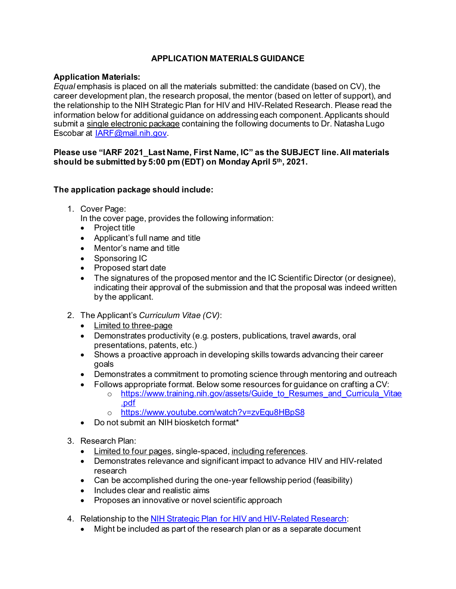# **APPLICATION MATERIALS GUIDANCE**

# **Application Materials:**

*Equal* emphasis is placed on all the materials submitted: the candidate (based on CV), the career development plan, the research proposal, the mentor (based on letter of support), and the relationship to the NIH Strategic Plan for HIV and HIV-Related Research. Please read the information below for additional guidance on addressing each component. Applicants should submit a single electronic package containing the following documents to Dr. Natasha Lugo Escobar at [IARF@mail.nih.gov.](mailto:IARF@mail.nih.gov)

## **Please use "IARF 2021\_Last Name, First Name, IC" as the SUBJECT line. All materials should be submitted by 5:00 pm (EDT) on Monday April 5th, 2021.**

## **The application package should include:**

- 1. Cover Page:
	- In the cover page, provides the following information:
	- Project title
	- Applicant's full name and title
	- Mentor's name and title
	- Sponsoring IC
	- Proposed start date
	- The signatures of the proposed mentor and the IC Scientific Director (or designee), indicating their approval of the submission and that the proposal was indeed written by the applicant.
- 2. The Applicant's *Curriculum Vitae (CV)*:
	- Limited to three-page
	- Demonstrates productivity (e.g. posters, publications, travel awards, oral presentations, patents, etc.)
	- Shows a proactive approach in developing skills towards advancing their career goals
	- Demonstrates a commitment to promoting science through mentoring and outreach
	- Follows appropriate format. Below some resources for guidance on crafting a CV:
		- o https://www.training.nih.gov/assets/Guide to Resumes and Curricula Vitae [.pdf](https://www.training.nih.gov/assets/Guide_to_Resumes_and_Curricula_Vitae.pdf)
		- o <https://www.youtube.com/watch?v=zvEqu8HBpS8>
	- Do not submit an NIH biosketch format\*
- 3. Research Plan:
	- Limited to four pages, single-spaced, including references.
	- Demonstrates relevance and significant impact to advance HIV and HIV-related research
	- Can be accomplished during the one-year fellowship period (feasibility)
	- Includes clear and realistic aims
	- Proposes an innovative or novel scientific approach
- 4. Relationship to the [NIH Strategic Plan for HIV and HIV-Related Research:](https://www.oar.nih.gov/hiv-policy-and-research/strategic-plan)
	- Might be included as part of the research plan or as a separate document